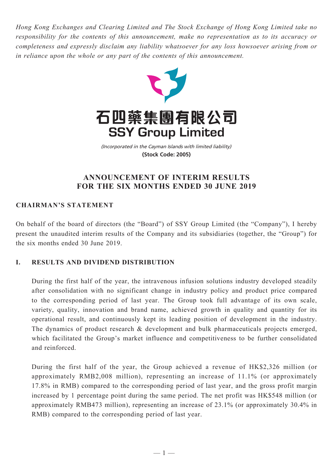*Hong Kong Exchanges and Clearing Limited and The Stock Exchange of Hong Kong Limited take no responsibility for the contents of this announcement, make no representation as to its accuracy or completeness and expressly disclaim any liability whatsoever for any loss howsoever arising from or in reliance upon the whole or any part of the contents of this announcement.*



(Incorporated in the Cayman Islands with limited liability) **(Stock Code: 2005)**

# **ANNOUNCEMENT OF INTERIM RESULTS FOR THE SIX MONTHS ENDED 30 JUNE 2019**

# **CHAIRMAN'S STATEMENT**

On behalf of the board of directors (the "Board") of SSY Group Limited (the "Company"), I hereby present the unaudited interim results of the Company and its subsidiaries (together, the "Group") for the six months ended 30 June 2019.

# **I. RESULTS AND DIVIDEND DISTRIBUTION**

During the first half of the year, the intravenous infusion solutions industry developed steadily after consolidation with no significant change in industry policy and product price compared to the corresponding period of last year. The Group took full advantage of its own scale, variety, quality, innovation and brand name, achieved growth in quality and quantity for its operational result, and continuously kept its leading position of development in the industry. The dynamics of product research & development and bulk pharmaceuticals projects emerged, which facilitated the Group's market influence and competitiveness to be further consolidated and reinforced.

During the first half of the year, the Group achieved a revenue of HK\$2,326 million (or approximately RMB2,008 million), representing an increase of 11.1% (or approximately 17.8% in RMB) compared to the corresponding period of last year, and the gross profit margin increased by 1 percentage point during the same period. The net profit was HK\$548 million (or approximately RMB473 million), representing an increase of 23.1% (or approximately 30.4% in RMB) compared to the corresponding period of last year.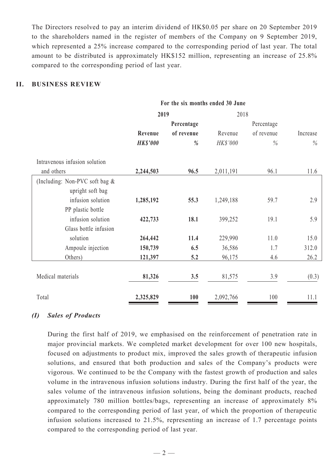The Directors resolved to pay an interim dividend of HK\$0.05 per share on 20 September 2019 to the shareholders named in the register of members of the Company on 9 September 2019, which represented a 25% increase compared to the corresponding period of last year. The total amount to be distributed is approximately HK\$152 million, representing an increase of 25.8% compared to the corresponding period of last year.

### **II. Business Review**

|                                | For the six months ended 30 June |            |           |            |          |
|--------------------------------|----------------------------------|------------|-----------|------------|----------|
|                                | 2019                             |            | 2018      |            |          |
|                                |                                  | Percentage |           | Percentage |          |
|                                | Revenue                          | of revenue | Revenue   | of revenue | Increase |
|                                | <b>HK\$'000</b>                  | %          | HK\$'000  | $\%$       | $\%$     |
|                                |                                  |            |           |            |          |
| Intravenous infusion solution  |                                  |            |           |            |          |
| and others                     | 2,244,503                        | 96.5       | 2,011,191 | 96.1       | 11.6     |
| (Including: Non-PVC soft bag & |                                  |            |           |            |          |
| upright soft bag               |                                  |            |           |            |          |
| infusion solution              | 1,285,192                        | 55.3       | 1,249,188 | 59.7       | 2.9      |
| PP plastic bottle              |                                  |            |           |            |          |
| infusion solution              | 422,733                          | 18.1       | 399,252   | 19.1       | 5.9      |
| Glass bottle infusion          |                                  |            |           |            |          |
| solution                       | 264,442                          | 11.4       | 229,990   | 11.0       | 15.0     |
| Ampoule injection              | 150,739                          | 6.5        | 36,586    | 1.7        | 312.0    |
| Others)                        | 121,397                          | 5.2        | 96,175    | 4.6        | 26.2     |
|                                |                                  |            |           |            |          |
| Medical materials              | 81,326                           | 3.5        | 81,575    | 3.9        | (0.3)    |
|                                |                                  |            |           |            |          |
| Total                          | 2,325,829                        | 100        | 2,092,766 | 100        | 11.1     |

# *(I) Sales of Products*

During the first half of 2019, we emphasised on the reinforcement of penetration rate in major provincial markets. We completed market development for over 100 new hospitals, focused on adjustments to product mix, improved the sales growth of therapeutic infusion solutions, and ensured that both production and sales of the Company's products were vigorous. We continued to be the Company with the fastest growth of production and sales volume in the intravenous infusion solutions industry. During the first half of the year, the sales volume of the intravenous infusion solutions, being the dominant products, reached approximately 780 million bottles/bags, representing an increase of approximately 8% compared to the corresponding period of last year, of which the proportion of therapeutic infusion solutions increased to 21.5%, representing an increase of 1.7 percentage points compared to the corresponding period of last year.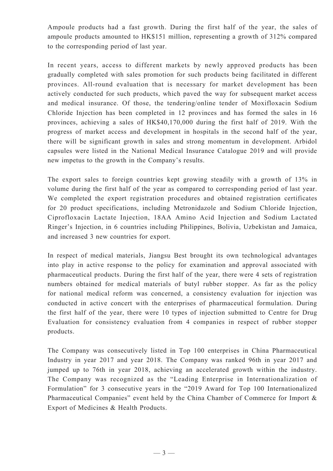Ampoule products had a fast growth. During the first half of the year, the sales of ampoule products amounted to HK\$151 million, representing a growth of 312% compared to the corresponding period of last year.

In recent years, access to different markets by newly approved products has been gradually completed with sales promotion for such products being facilitated in different provinces. All-round evaluation that is necessary for market development has been actively conducted for such products, which paved the way for subsequent market access and medical insurance. Of those, the tendering/online tender of Moxifloxacin Sodium Chloride Injection has been completed in 12 provinces and has formed the sales in 16 provinces, achieving a sales of HK\$40,170,000 during the first half of 2019. With the progress of market access and development in hospitals in the second half of the year, there will be significant growth in sales and strong momentum in development. Arbidol capsules were listed in the National Medical Insurance Catalogue 2019 and will provide new impetus to the growth in the Company's results.

The export sales to foreign countries kept growing steadily with a growth of 13% in volume during the first half of the year as compared to corresponding period of last year. We completed the export registration procedures and obtained registration certificates for 20 product specifications, including Metronidazole and Sodium Chloride Injection, Ciprofloxacin Lactate Injection, 18AA Amino Acid Injection and Sodium Lactated Ringer's Injection, in 6 countries including Philippines, Bolivia, Uzbekistan and Jamaica, and increased 3 new countries for export.

In respect of medical materials, Jiangsu Best brought its own technological advantages into play in active response to the policy for examination and approval associated with pharmaceutical products. During the first half of the year, there were 4 sets of registration numbers obtained for medical materials of butyl rubber stopper. As far as the policy for national medical reform was concerned, a consistency evaluation for injection was conducted in active concert with the enterprises of pharmaceutical formulation. During the first half of the year, there were 10 types of injection submitted to Centre for Drug Evaluation for consistency evaluation from 4 companies in respect of rubber stopper products.

The Company was consecutively listed in Top 100 enterprises in China Pharmaceutical Industry in year 2017 and year 2018. The Company was ranked 96th in year 2017 and jumped up to 76th in year 2018, achieving an accelerated growth within the industry. The Company was recognized as the "Leading Enterprise in Internationalization of Formulation" for 3 consecutive years in the "2019 Award for Top 100 Internationalized Pharmaceutical Companies" event held by the China Chamber of Commerce for Import & Export of Medicines & Health Products.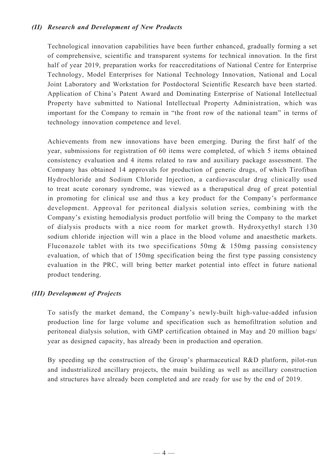# *(II) Research and Development of New Products*

Technological innovation capabilities have been further enhanced, gradually forming a set of comprehensive, scientific and transparent systems for technical innovation. In the first half of year 2019, preparation works for reaccreditations of National Centre for Enterprise Technology, Model Enterprises for National Technology Innovation, National and Local Joint Laboratory and Workstation for Postdoctoral Scientific Research have been started. Application of China's Patent Award and Dominating Enterprise of National Intellectual Property have submitted to National Intellectual Property Administration, which was important for the Company to remain in "the front row of the national team" in terms of technology innovation competence and level.

Achievements from new innovations have been emerging. During the first half of the year, submissions for registration of 60 items were completed, of which 5 items obtained consistency evaluation and 4 items related to raw and auxiliary package assessment. The Company has obtained 14 approvals for production of generic drugs, of which Tirofiban Hydrochloride and Sodium Chloride Injection, a cardiovascular drug clinically used to treat acute coronary syndrome, was viewed as a theraputical drug of great potential in promoting for clinical use and thus a key product for the Company's performance development. Approval for peritoneal dialysis solution series, combining with the Company's existing hemodialysis product portfolio will bring the Company to the market of dialysis products with a nice room for market growth. Hydroxyethyl starch 130 sodium chloride injection will win a place in the blood volume and anaesthetic markets. Fluconazole tablet with its two specifications 50mg & 150mg passing consistency evaluation, of which that of 150mg specification being the first type passing consistency evaluation in the PRC, will bring better market potential into effect in future national product tendering.

# *(III) Development of Projects*

To satisfy the market demand, the Company's newly-built high-value-added infusion production line for large volume and specification such as hemofiltration solution and peritoneal dialysis solution, with GMP certification obtained in May and 20 million bags/ year as designed capacity, has already been in production and operation.

By speeding up the construction of the Group's pharmaceutical R&D platform, pilot-run and industrialized ancillary projects, the main building as well as ancillary construction and structures have already been completed and are ready for use by the end of 2019.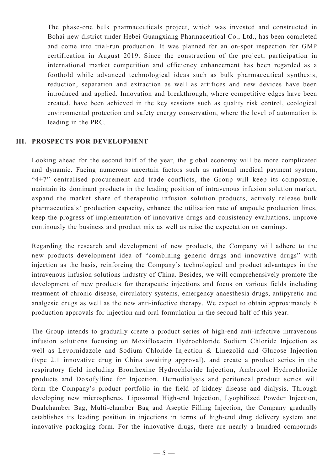The phase-one bulk pharmaceuticals project, which was invested and constructed in Bohai new district under Hebei Guangxiang Pharmaceutical Co., Ltd., has been completed and come into trial-run production. It was planned for an on-spot inspection for GMP certification in August 2019. Since the construction of the project, participation in international market competition and efficiency enhancement has been regarded as a foothold while advanced technological ideas such as bulk pharmaceutical synthesis, reduction, separation and extraction as well as artifices and new devices have been introduced and applied. Innovation and breakthrough, where competitive edges have been created, have been achieved in the key sessions such as quality risk control, ecological environmental protection and safety energy conservation, where the level of automation is leading in the PRC.

### **III. PROSPECTS FOR DEVELOPMENT**

Looking ahead for the second half of the year, the global economy will be more complicated and dynamic. Facing numerous uncertain factors such as national medical payment system, "4+7" centralised procurement and trade conflicts, the Group will keep its composure, maintain its dominant products in the leading position of intravenous infusion solution market, expand the market share of therapeutic infusion solution products, actively release bulk pharmaceuticals' production capacity, enhance the utilisation rate of ampoule production lines, keep the progress of implementation of innovative drugs and consistency evaluations, improve continously the business and product mix as well as raise the expectation on earnings.

Regarding the research and development of new products, the Company will adhere to the new products development idea of "combining generic drugs and innovative drugs" with injection as the basis, reinforcing the Company's technological and product advantages in the intravenous infusion solutions industry of China. Besides, we will comprehensively promote the development of new products for therapeutic injections and focus on various fields including treatment of chronic disease, circulatory systems, emergency anaesthesia drugs, antipyretic and analgesic drugs as well as the new anti-infective therapy. We expect to obtain approximately 6 production approvals for injection and oral formulation in the second half of this year.

The Group intends to gradually create a product series of high-end anti-infective intravenous infusion solutions focusing on Moxifloxacin Hydrochloride Sodium Chloride Injection as well as Levornidazole and Sodium Chloride Injection & Linezolid and Glucose Injection (type 2.1 innovative drug in China awaiting approval), and create a product series in the respiratory field including Bromhexine Hydrochloride Injection, Ambroxol Hydrochloride products and Doxofylline for Injection. Hemodialysis and peritoneal product series will form the Company's product portfolio in the field of kidney disease and dialysis. Through developing new microspheres, Liposomal High-end Injection, Lyophilized Powder Injection, Dualchamber Bag, Multi-chamber Bag and Aseptic Filling Injection, the Company gradually establishes its leading position in injections in terms of high-end drug delivery system and innovative packaging form. For the innovative drugs, there are nearly a hundred compounds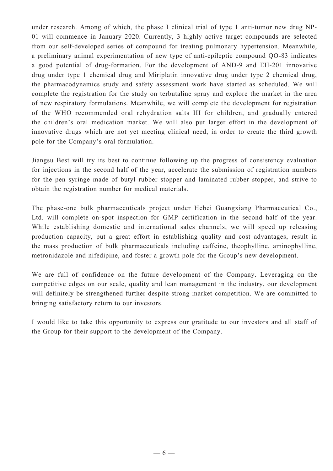under research. Among of which, the phase I clinical trial of type 1 anti-tumor new drug NP-01 will commence in January 2020. Currently, 3 highly active target compounds are selected from our self-developed series of compound for treating pulmonary hypertension. Meanwhile, a preliminary animal experimentation of new type of anti-epileptic compound QO-83 indicates a good potential of drug-formation. For the development of AND-9 and EH-201 innovative drug under type 1 chemical drug and Miriplatin innovative drug under type 2 chemical drug, the pharmacodynamics study and safety assessment work have started as scheduled. We will complete the registration for the study on terbutaline spray and explore the market in the area of new respiratory formulations. Meanwhile, we will complete the development for registration of the WHO recommended oral rehydration salts III for children, and gradually entered the children's oral medication market. We will also put larger effort in the development of innovative drugs which are not yet meeting clinical need, in order to create the third growth pole for the Company's oral formulation.

Jiangsu Best will try its best to continue following up the progress of consistency evaluation for injections in the second half of the year, accelerate the submission of registration numbers for the pen syringe made of butyl rubber stopper and laminated rubber stopper, and strive to obtain the registration number for medical materials.

The phase-one bulk pharmaceuticals project under Hebei Guangxiang Pharmaceutical Co., Ltd. will complete on-spot inspection for GMP certification in the second half of the year. While establishing domestic and international sales channels, we will speed up releasing production capacity, put a great effort in establishing quality and cost advantages, result in the mass production of bulk pharmaceuticals including caffeine, theophylline, aminophylline, metronidazole and nifedipine, and foster a growth pole for the Group's new development.

We are full of confidence on the future development of the Company. Leveraging on the competitive edges on our scale, quality and lean management in the industry, our development will definitely be strengthened further despite strong market competition. We are committed to bringing satisfactory return to our investors.

I would like to take this opportunity to express our gratitude to our investors and all staff of the Group for their support to the development of the Company.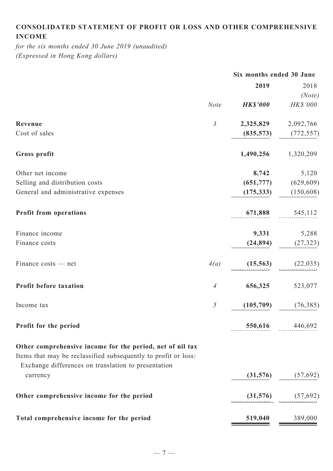# **Consolidated statement of profit or loss and other comprehensive income**

*for the six months ended 30 June 2019 (unaudited) (Expressed in Hong Kong dollars)*

|                                                                                                                                                                                    |                | Six months ended 30 June |                        |
|------------------------------------------------------------------------------------------------------------------------------------------------------------------------------------|----------------|--------------------------|------------------------|
|                                                                                                                                                                                    |                | 2019                     | 2018                   |
|                                                                                                                                                                                    |                |                          | (Note)                 |
|                                                                                                                                                                                    | <b>Note</b>    | <b>HK\$'000</b>          | HK\$'000               |
| Revenue                                                                                                                                                                            | $\mathfrak{Z}$ | 2,325,829                | 2,092,766              |
| Cost of sales                                                                                                                                                                      |                | (835,573)                | (772, 557)             |
| Gross profit                                                                                                                                                                       |                | 1,490,256                | 1,320,209              |
| Other net income                                                                                                                                                                   |                | 8,742                    | 5,120                  |
| Selling and distribution costs                                                                                                                                                     |                | (651, 777)               | (629, 609)             |
| General and administrative expenses                                                                                                                                                |                | (175, 333)               | (150, 608)             |
| <b>Profit from operations</b>                                                                                                                                                      |                | 671,888                  | 545,112                |
| Finance income                                                                                                                                                                     |                | 9,331                    | 5,288                  |
| Finance costs                                                                                                                                                                      |                | (24, 894)                | (27, 323)              |
| Finance costs — net                                                                                                                                                                | 4(a)           | (15, 563)                | (22, 035)              |
| Profit before taxation                                                                                                                                                             | $\overline{A}$ | 656,325                  | 523,077                |
| Income tax                                                                                                                                                                         | 5              | (105,709)                | (76, 385)              |
| Profit for the period                                                                                                                                                              |                |                          | <b>550,616</b> 446,692 |
| Other comprehensive income for the period, net of nil tax<br>Items that may be reclassified subsequently to profit or loss:<br>Exchange differences on translation to presentation |                |                          |                        |
| currency                                                                                                                                                                           |                |                          | $(31,576)$ $(57,692)$  |
| Other comprehensive income for the period                                                                                                                                          |                |                          | $(31,576)$ $(57,692)$  |
| Total comprehensive income for the period                                                                                                                                          |                | 519,040                  | 389,000                |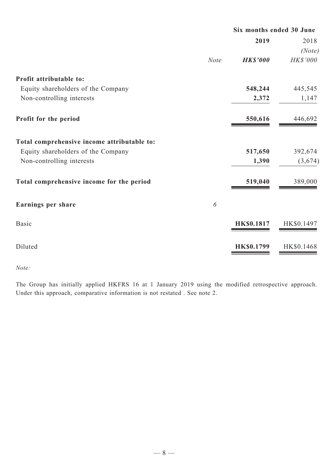|                                             |             | Six months ended 30 June |            |
|---------------------------------------------|-------------|--------------------------|------------|
|                                             |             | 2019                     | 2018       |
|                                             |             |                          | (Note)     |
|                                             | <b>Note</b> | <b>HK\$'000</b>          | HK\$'000   |
| Profit attributable to:                     |             |                          |            |
| Equity shareholders of the Company          |             | 548,244                  | 445,545    |
| Non-controlling interests                   |             | 2,372                    | 1,147      |
| Profit for the period                       |             | 550,616                  | 446,692    |
| Total comprehensive income attributable to: |             |                          |            |
| Equity shareholders of the Company          |             | 517,650                  | 392,674    |
| Non-controlling interests                   |             | 1,390                    | (3,674)    |
| Total comprehensive income for the period   |             | 519,040                  | 389,000    |
| Earnings per share                          | 6           |                          |            |
| <b>Basic</b>                                |             | <b>HK\$0.1817</b>        | HK\$0.1497 |
| Diluted                                     |             | <b>HK\$0.1799</b>        | HK\$0.1468 |

*Note:*

The Group has initially applied HKFRS 16 at 1 January 2019 using the modified retrospective approach. Under this approach, comparative information is not restated. See note 2.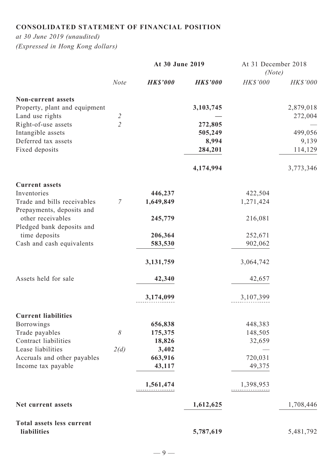# **Consolidated statement of financial position**

*at 30 June 2019 (unaudited) (Expressed in Hong Kong dollars)*

|                                                          |                         | At 30 June 2019 |                 | At 31 December 2018<br>(Note) |                 |
|----------------------------------------------------------|-------------------------|-----------------|-----------------|-------------------------------|-----------------|
|                                                          | <b>Note</b>             | <b>HK\$'000</b> | <b>HK\$'000</b> | <b>HK\$'000</b>               | <b>HK\$'000</b> |
| <b>Non-current assets</b>                                |                         |                 |                 |                               |                 |
| Property, plant and equipment                            |                         |                 | 3,103,745       |                               | 2,879,018       |
| Land use rights                                          | $\overline{\mathbf{2}}$ |                 |                 |                               | 272,004         |
| Right-of-use assets                                      | $\overline{2}$          |                 | 272,805         |                               |                 |
| Intangible assets                                        |                         |                 | 505,249         |                               | 499,056         |
| Deferred tax assets                                      |                         |                 | 8,994           |                               | 9,139           |
| Fixed deposits                                           |                         |                 | 284,201         |                               | 114,129         |
|                                                          |                         |                 | 4,174,994       |                               | 3,773,346       |
| <b>Current assets</b>                                    |                         |                 |                 |                               |                 |
| Inventories                                              |                         | 446,237         |                 | 422,504                       |                 |
| Trade and bills receivables<br>Prepayments, deposits and | $\overline{7}$          | 1,649,849       |                 | 1,271,424                     |                 |
| other receivables<br>Pledged bank deposits and           |                         | 245,779         |                 | 216,081                       |                 |
| time deposits                                            |                         | 206,364         |                 | 252,671                       |                 |
| Cash and cash equivalents                                |                         | 583,530         |                 | 902,062                       |                 |
|                                                          |                         |                 |                 |                               |                 |
|                                                          |                         | 3, 131, 759     |                 | 3,064,742                     |                 |
| Assets held for sale                                     |                         | 42,340          |                 | 42,657                        |                 |
|                                                          |                         | 3,174,099       |                 | 3,107,399                     |                 |
| <b>Current liabilities</b>                               |                         |                 |                 |                               |                 |
| Borrowings                                               |                         | 656,838         |                 | 448,383                       |                 |
| Trade payables                                           | 8                       | 175,375         |                 | 148,505                       |                 |
| Contract liabilities                                     |                         | 18,826          |                 | 32,659                        |                 |
| Lease liabilities                                        | 2(d)                    | 3,402           |                 |                               |                 |
| Accruals and other payables                              |                         | 663,916         |                 | 720,031                       |                 |
| Income tax payable                                       |                         | 43,117          |                 | 49,375                        |                 |
|                                                          |                         | 1,561,474       |                 | 1,398,953                     |                 |
| Net current assets                                       |                         |                 | 1,612,625       |                               | 1,708,446       |
| <b>Total assets less current</b>                         |                         |                 |                 |                               |                 |
| liabilities                                              |                         |                 | 5,787,619       |                               | 5,481,792       |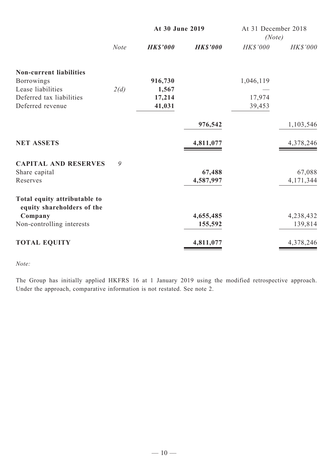|                                                            |             | At 30 June 2019 |                 |           | At 31 December 2018<br>(Note) |  |
|------------------------------------------------------------|-------------|-----------------|-----------------|-----------|-------------------------------|--|
|                                                            | <b>Note</b> | <b>HK\$'000</b> | <b>HK\$'000</b> | HK\$'000  | <b>HK\$'000</b>               |  |
| <b>Non-current liabilities</b>                             |             |                 |                 |           |                               |  |
| Borrowings                                                 |             | 916,730         |                 | 1,046,119 |                               |  |
| Lease liabilities                                          | 2(d)        | 1,567           |                 |           |                               |  |
| Deferred tax liabilities                                   |             | 17,214          |                 | 17,974    |                               |  |
| Deferred revenue                                           |             | 41,031          |                 | 39,453    |                               |  |
|                                                            |             |                 | 976,542         |           | 1,103,546                     |  |
| <b>NET ASSETS</b>                                          |             |                 | 4,811,077       |           | 4,378,246                     |  |
| <b>CAPITAL AND RESERVES</b>                                | 9           |                 |                 |           |                               |  |
| Share capital                                              |             |                 | 67,488          |           | 67,088                        |  |
| Reserves                                                   |             |                 | 4,587,997       |           | 4,171,344                     |  |
| Total equity attributable to<br>equity shareholders of the |             |                 |                 |           |                               |  |
| Company                                                    |             |                 | 4,655,485       |           | 4,238,432                     |  |
| Non-controlling interests                                  |             |                 | 155,592         |           | 139,814                       |  |
| <b>TOTAL EQUITY</b>                                        |             |                 | 4,811,077       |           | 4,378,246                     |  |

#### *Note:*

The Group has initially applied HKFRS 16 at 1 January 2019 using the modified retrospective approach. Under the approach, comparative information is not restated. See note 2.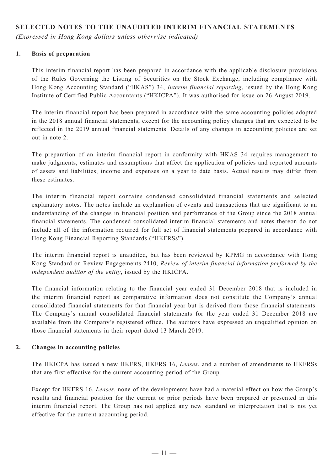# **SELECTED NOTES TO THE UNAUDITED INTERIM FINANCIAL STATEMENTS**

*(Expressed in Hong Kong dollars unless otherwise indicated)*

### **1. Basis of preparation**

This interim financial report has been prepared in accordance with the applicable disclosure provisions of the Rules Governing the Listing of Securities on the Stock Exchange, including compliance with Hong Kong Accounting Standard ("HKAS") 34, *Interim financial reporting*, issued by the Hong Kong Institute of Certified Public Accountants ("HKICPA"). It was authorised for issue on 26 August 2019.

The interim financial report has been prepared in accordance with the same accounting policies adopted in the 2018 annual financial statements, except for the accounting policy changes that are expected to be reflected in the 2019 annual financial statements. Details of any changes in accounting policies are set out in note 2.

The preparation of an interim financial report in conformity with HKAS 34 requires management to make judgments, estimates and assumptions that affect the application of policies and reported amounts of assets and liabilities, income and expenses on a year to date basis. Actual results may differ from these estimates.

The interim financial report contains condensed consolidated financial statements and selected explanatory notes. The notes include an explanation of events and transactions that are significant to an understanding of the changes in financial position and performance of the Group since the 2018 annual financial statements. The condensed consolidated interim financial statements and notes thereon do not include all of the information required for full set of financial statements prepared in accordance with Hong Kong Financial Reporting Standards ("HKFRSs").

The interim financial report is unaudited, but has been reviewed by KPMG in accordance with Hong Kong Standard on Review Engagements 2410, *Review of interim financial information performed by the independent auditor of the entity*, issued by the HKICPA.

The financial information relating to the financial year ended 31 December 2018 that is included in the interim financial report as comparative information does not constitute the Company's annual consolidated financial statements for that financial year but is derived from those financial statements. The Company's annual consolidated financial statements for the year ended 31 December 2018 are available from the Company's registered office. The auditors have expressed an unqualified opinion on those financial statements in their report dated 13 March 2019.

#### **2. Changes in accounting policies**

The HKICPA has issued a new HKFRS, HKFRS 16, *Leases*, and a number of amendments to HKFRSs that are first effective for the current accounting period of the Group.

Except for HKFRS 16, *Leases*, none of the developments have had a material effect on how the Group's results and financial position for the current or prior periods have been prepared or presented in this interim financial report. The Group has not applied any new standard or interpretation that is not yet effective for the current accounting period.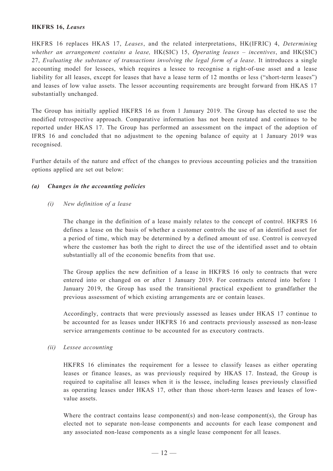#### **HKFRS 16,** *Leases*

HKFRS 16 replaces HKAS 17, *Leases*, and the related interpretations, HK(IFRIC) 4, *Determining whether an arrangement contains a lease,* HK(SIC) 15, *Operating leases – incentives*, and HK(SIC) 27, *Evaluating the substance of transactions involving the legal form of a lease*. It introduces a single accounting model for lessees, which requires a lessee to recognise a right-of-use asset and a lease liability for all leases, except for leases that have a lease term of 12 months or less ("short-term leases") and leases of low value assets. The lessor accounting requirements are brought forward from HKAS 17 substantially unchanged.

The Group has initially applied HKFRS 16 as from 1 January 2019. The Group has elected to use the modified retrospective approach. Comparative information has not been restated and continues to be reported under HKAS 17. The Group has performed an assessment on the impact of the adoption of IFRS 16 and concluded that no adjustment to the opening balance of equity at 1 January 2019 was recognised.

Further details of the nature and effect of the changes to previous accounting policies and the transition options applied are set out below:

#### *(a) Changes in the accounting policies*

### *(i) New definition of a lease*

The change in the definition of a lease mainly relates to the concept of control. HKFRS 16 defines a lease on the basis of whether a customer controls the use of an identified asset for a period of time, which may be determined by a defined amount of use. Control is conveyed where the customer has both the right to direct the use of the identified asset and to obtain substantially all of the economic benefits from that use.

The Group applies the new definition of a lease in HKFRS 16 only to contracts that were entered into or changed on or after 1 January 2019. For contracts entered into before 1 January 2019, the Group has used the transitional practical expedient to grandfather the previous assessment of which existing arrangements are or contain leases.

Accordingly, contracts that were previously assessed as leases under HKAS 17 continue to be accounted for as leases under HKFRS 16 and contracts previously assessed as non-lease service arrangements continue to be accounted for as executory contracts.

#### *(ii) Lessee accounting*

HKFRS 16 eliminates the requirement for a lessee to classify leases as either operating leases or finance leases, as was previously required by HKAS 17. Instead, the Group is required to capitalise all leases when it is the lessee, including leases previously classified as operating leases under HKAS 17, other than those short-term leases and leases of lowvalue assets.

Where the contract contains lease component(s) and non-lease component(s), the Group has elected not to separate non-lease components and accounts for each lease component and any associated non-lease components as a single lease component for all leases.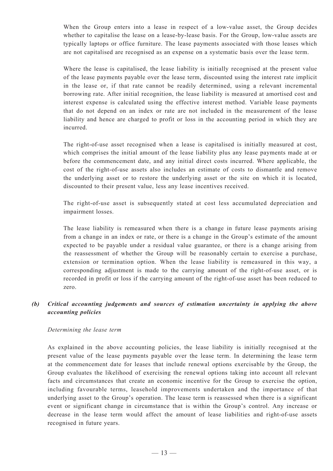When the Group enters into a lease in respect of a low-value asset, the Group decides whether to capitalise the lease on a lease-by-lease basis. For the Group, low-value assets are typically laptops or office furniture. The lease payments associated with those leases which are not capitalised are recognised as an expense on a systematic basis over the lease term.

Where the lease is capitalised, the lease liability is initially recognised at the present value of the lease payments payable over the lease term, discounted using the interest rate implicit in the lease or, if that rate cannot be readily determined, using a relevant incremental borrowing rate. After initial recognition, the lease liability is measured at amortised cost and interest expense is calculated using the effective interest method. Variable lease payments that do not depend on an index or rate are not included in the measurement of the lease liability and hence are charged to profit or loss in the accounting period in which they are incurred.

The right-of-use asset recognised when a lease is capitalised is initially measured at cost, which comprises the initial amount of the lease liability plus any lease payments made at or before the commencement date, and any initial direct costs incurred. Where applicable, the cost of the right-of-use assets also includes an estimate of costs to dismantle and remove the underlying asset or to restore the underlying asset or the site on which it is located, discounted to their present value, less any lease incentives received.

The right-of-use asset is subsequently stated at cost less accumulated depreciation and impairment losses.

The lease liability is remeasured when there is a change in future lease payments arising from a change in an index or rate, or there is a change in the Group's estimate of the amount expected to be payable under a residual value guarantee, or there is a change arising from the reassessment of whether the Group will be reasonably certain to exercise a purchase, extension or termination option. When the lease liability is remeasured in this way, a corresponding adjustment is made to the carrying amount of the right-of-use asset, or is recorded in profit or loss if the carrying amount of the right-of-use asset has been reduced to zero.

### *(b) Critical accounting judgements and sources of estimation uncertainty in applying the above accounting policies*

#### *Determining the lease term*

As explained in the above accounting policies, the lease liability is initially recognised at the present value of the lease payments payable over the lease term. In determining the lease term at the commencement date for leases that include renewal options exercisable by the Group, the Group evaluates the likelihood of exercising the renewal options taking into account all relevant facts and circumstances that create an economic incentive for the Group to exercise the option, including favourable terms, leasehold improvements undertaken and the importance of that underlying asset to the Group's operation. The lease term is reassessed when there is a significant event or significant change in circumstance that is within the Group's control. Any increase or decrease in the lease term would affect the amount of lease liabilities and right-of-use assets recognised in future years.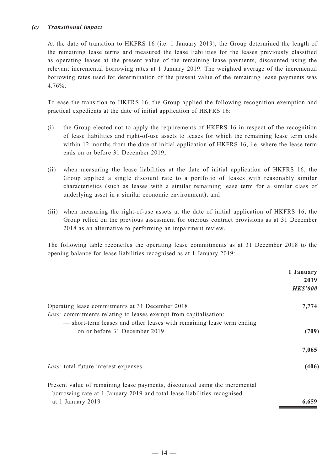### *(c) Transitional impact*

At the date of transition to HKFRS 16 (i.e. 1 January 2019), the Group determined the length of the remaining lease terms and measured the lease liabilities for the leases previously classified as operating leases at the present value of the remaining lease payments, discounted using the relevant incremental borrowing rates at 1 January 2019. The weighted average of the incremental borrowing rates used for determination of the present value of the remaining lease payments was 4.76%.

To ease the transition to HKFRS 16, the Group applied the following recognition exemption and practical expedients at the date of initial application of HKFRS 16:

- (i) the Group elected not to apply the requirements of HKFRS 16 in respect of the recognition of lease liabilities and right-of-use assets to leases for which the remaining lease term ends within 12 months from the date of initial application of HKFRS 16, i.e. where the lease term ends on or before 31 December 2019;
- (ii) when measuring the lease liabilities at the date of initial application of HKFRS 16, the Group applied a single discount rate to a portfolio of leases with reasonably similar characteristics (such as leases with a similar remaining lease term for a similar class of underlying asset in a similar economic environment); and
- (iii) when measuring the right-of-use assets at the date of initial application of HKFRS 16, the Group relied on the previous assessment for onerous contract provisions as at 31 December 2018 as an alternative to performing an impairment review.

The following table reconciles the operating lease commitments as at 31 December 2018 to the opening balance for lease liabilities recognised as at 1 January 2019:

|                                                                                                                     | 1 January<br>2019 |
|---------------------------------------------------------------------------------------------------------------------|-------------------|
|                                                                                                                     | <b>HK\$'000</b>   |
| Operating lease commitments at 31 December 2018<br>Less: commitments relating to leases exempt from capitalisation: | 7,774             |
| - short-term leases and other leases with remaining lease term ending<br>on or before 31 December 2019              | (709)             |
|                                                                                                                     | 7,065             |
| Less: total future interest expenses                                                                                | (406)             |
| Present value of remaining lease payments, discounted using the incremental                                         |                   |
| borrowing rate at 1 January 2019 and total lease liabilities recognised<br>at 1 January 2019                        | 6,659             |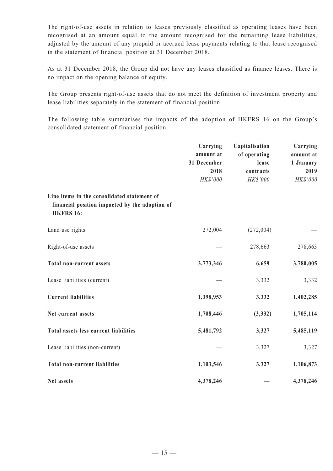The right-of-use assets in relation to leases previously classified as operating leases have been recognised at an amount equal to the amount recognised for the remaining lease liabilities, adjusted by the amount of any prepaid or accrued lease payments relating to that lease recognised in the statement of financial position at 31 December 2018.

As at 31 December 2018, the Group did not have any leases classified as finance leases. There is no impact on the opening balance of equity.

The Group presents right-of-use assets that do not meet the definition of investment property and lease liabilities separately in the statement of financial position.

The following table summarises the impacts of the adoption of HKFRS 16 on the Group's consolidated statement of financial position:

|                                                                                                                   | Carrying<br>amount at<br>31 December<br>2018<br>HK\$'000 | Capitalisation<br>of operating<br>lease<br>contracts<br>HK\$'000 | Carrying<br>amount at<br>1 January<br>2019<br>HK\$'000 |
|-------------------------------------------------------------------------------------------------------------------|----------------------------------------------------------|------------------------------------------------------------------|--------------------------------------------------------|
| Line items in the consolidated statement of<br>financial position impacted by the adoption of<br><b>HKFRS 16:</b> |                                                          |                                                                  |                                                        |
| Land use rights                                                                                                   | 272,004                                                  | (272,004)                                                        |                                                        |
| Right-of-use assets                                                                                               |                                                          | 278,663                                                          | 278,663                                                |
| <b>Total non-current assets</b>                                                                                   | 3,773,346                                                | 6,659                                                            | 3,780,005                                              |
| Lease liabilities (current)                                                                                       |                                                          | 3,332                                                            | 3,332                                                  |
| <b>Current liabilities</b>                                                                                        | 1,398,953                                                | 3,332                                                            | 1,402,285                                              |
| Net current assets                                                                                                | 1,708,446                                                | (3, 332)                                                         | 1,705,114                                              |
| <b>Total assets less current liabilities</b>                                                                      | 5,481,792                                                | 3,327                                                            | 5,485,119                                              |
| Lease liabilities (non-current)                                                                                   |                                                          | 3,327                                                            | 3,327                                                  |
| <b>Total non-current liabilities</b>                                                                              | 1,103,546                                                | 3,327                                                            | 1,106,873                                              |
| Net assets                                                                                                        | 4,378,246                                                |                                                                  | 4,378,246                                              |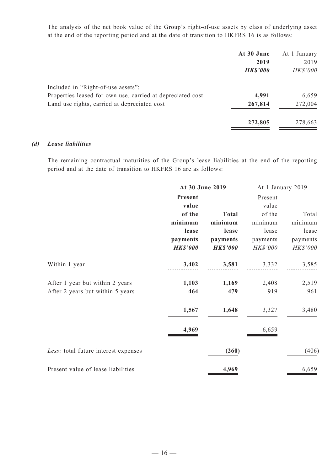The analysis of the net book value of the Group's right-of-use assets by class of underlying asset at the end of the reporting period and at the date of transition to HKFRS 16 is as follows:

|                                                            | At 30 June      | At 1 January    |
|------------------------------------------------------------|-----------------|-----------------|
|                                                            | 2019            | 2019            |
|                                                            | <b>HK\$'000</b> | <b>HK\$'000</b> |
| Included in "Right-of-use assets":                         |                 |                 |
| Properties leased for own use, carried at depreciated cost | 4,991           | 6,659           |
| Land use rights, carried at depreciated cost               | 267,814         | 272,004         |
|                                                            | 272,805         | 278,663         |

#### *(d) Lease liabilities*

The remaining contractual maturities of the Group's lease liabilities at the end of the reporting period and at the date of transition to HKFRS 16 are as follows:

|                                      | At 30 June 2019 |                 | At 1 January 2019 |          |
|--------------------------------------|-----------------|-----------------|-------------------|----------|
|                                      | Present         |                 | Present           |          |
|                                      | value           |                 | value             |          |
|                                      | of the          | <b>Total</b>    | of the            | Total    |
|                                      | minimum         | minimum         | minimum           | minimum  |
|                                      | lease           | lease           | lease             | lease    |
|                                      | payments        | payments        | payments          | payments |
|                                      | <b>HK\$'000</b> | <b>HK\$'000</b> | HK\$'000          | HK\$'000 |
| Within 1 year                        | 3,402           | 3,581           | 3,332             | 3,585    |
| After 1 year but within 2 years      | 1,103           | 1,169           | 2,408             | 2,519    |
| After 2 years but within 5 years     | 464             | 479             | 919               | 961      |
|                                      | 1,567           | 1,648           | 3,327             | 3,480    |
|                                      | 4,969           |                 | 6,659             |          |
| Less: total future interest expenses |                 | (260)           |                   | (406)    |
| Present value of lease liabilities   |                 | 4,969           |                   | 6,659    |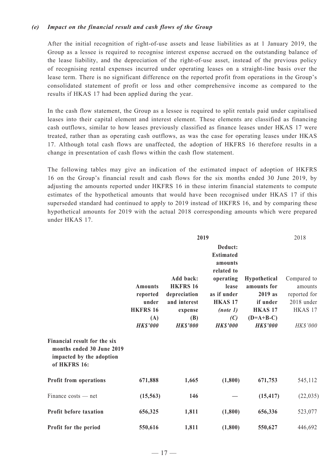#### *(e) Impact on the financial result and cash flows of the Group*

After the initial recognition of right-of-use assets and lease liabilities as at 1 January 2019, the Group as a lessee is required to recognise interest expense accrued on the outstanding balance of the lease liability, and the depreciation of the right-of-use asset, instead of the previous policy of recognising rental expenses incurred under operating leases on a straight-line basis over the lease term. There is no significant difference on the reported profit from operations in the Group's consolidated statement of profit or loss and other comprehensive income as compared to the results if HKAS 17 had been applied during the year.

In the cash flow statement, the Group as a lessee is required to split rentals paid under capitalised leases into their capital element and interest element. These elements are classified as financing cash outflows, similar to how leases previously classified as finance leases under HKAS 17 were treated, rather than as operating cash outflows, as was the case for operating leases under HKAS 17. Although total cash flows are unaffected, the adoption of HKFRS 16 therefore results in a change in presentation of cash flows within the cash flow statement.

The following tables may give an indication of the estimated impact of adoption of HKFRS 16 on the Group's financial result and cash flows for the six months ended 30 June 2019, by adjusting the amounts reported under HKFRS 16 in these interim financial statements to compute estimates of the hypothetical amounts that would have been recognised under HKAS 17 if this superseded standard had continued to apply to 2019 instead of HKFRS 16, and by comparing these hypothetical amounts for 2019 with the actual 2018 corresponding amounts which were prepared under HKAS 17.

|                                                                                                       |                                                                                  |                                                                                                   | 2019                                                                                      |                                                                                                            | 2018                                                                               |
|-------------------------------------------------------------------------------------------------------|----------------------------------------------------------------------------------|---------------------------------------------------------------------------------------------------|-------------------------------------------------------------------------------------------|------------------------------------------------------------------------------------------------------------|------------------------------------------------------------------------------------|
|                                                                                                       |                                                                                  |                                                                                                   | Deduct:<br><b>Estimated</b><br>amounts<br>related to                                      |                                                                                                            |                                                                                    |
|                                                                                                       | <b>Amounts</b><br>reported<br>under<br><b>HKFRS 16</b><br>(A)<br><b>HK\$'000</b> | Add back:<br><b>HKFRS 16</b><br>depreciation<br>and interest<br>expense<br>(B)<br><b>HK\$'000</b> | operating<br>lease<br>as if under<br><b>HKAS 17</b><br>(note 1)<br>(C)<br><b>HK\$'000</b> | Hypothetical<br>amounts for<br>2019 as<br>if under<br>HKAS <sub>17</sub><br>$(D=A+B-C)$<br><b>HK\$'000</b> | Compared to<br>amounts<br>reported for<br>2018 under<br>HKAS 17<br><b>HK\$'000</b> |
| Financial result for the six<br>months ended 30 June 2019<br>impacted by the adoption<br>of HKFRS 16: |                                                                                  |                                                                                                   |                                                                                           |                                                                                                            |                                                                                    |
| <b>Profit from operations</b>                                                                         | 671,888                                                                          | 1,665                                                                                             | (1,800)                                                                                   | 671,753                                                                                                    | 545,112                                                                            |
| Finance costs — net                                                                                   | (15, 563)                                                                        | 146                                                                                               |                                                                                           | (15, 417)                                                                                                  | (22, 035)                                                                          |
| Profit before taxation                                                                                | 656,325                                                                          | 1,811                                                                                             | (1,800)                                                                                   | 656,336                                                                                                    | 523,077                                                                            |
| Profit for the period                                                                                 | 550,616                                                                          | 1,811                                                                                             | (1,800)                                                                                   | 550,627                                                                                                    | 446,692                                                                            |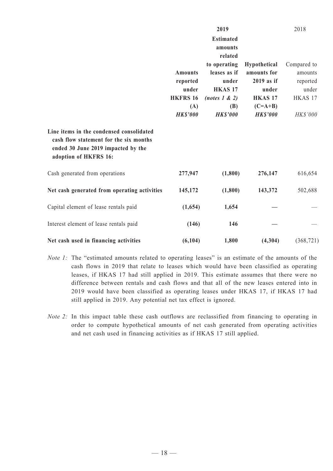|                                                                                                                                                   |                 | 2019             |                     | 2018               |
|---------------------------------------------------------------------------------------------------------------------------------------------------|-----------------|------------------|---------------------|--------------------|
|                                                                                                                                                   |                 | <b>Estimated</b> |                     |                    |
|                                                                                                                                                   |                 | amounts          |                     |                    |
|                                                                                                                                                   |                 | related          |                     |                    |
|                                                                                                                                                   |                 | to operating     | <b>Hypothetical</b> | Compared to        |
|                                                                                                                                                   | <b>Amounts</b>  | leases as if     | amounts for         | amounts            |
|                                                                                                                                                   | reported        | under            | $2019$ as if        | reported           |
|                                                                                                                                                   | under           | <b>HKAS17</b>    | under               | under              |
|                                                                                                                                                   | <b>HKFRS 16</b> | (notes 1 & 2)    | <b>HKAS 17</b>      | HKAS <sub>17</sub> |
|                                                                                                                                                   | (A)             | (B)              | $(C=A+B)$           |                    |
|                                                                                                                                                   | <b>HK\$'000</b> | <b>HK\$'000</b>  | <b>HK\$'000</b>     | HK\$'000           |
| Line items in the condensed consolidated<br>cash flow statement for the six months<br>ended 30 June 2019 impacted by the<br>adoption of HKFRS 16: |                 |                  |                     |                    |
| Cash generated from operations                                                                                                                    | 277,947         | (1,800)          | 276,147             | 616,654            |
| Net cash generated from operating activities                                                                                                      | 145,172         | (1,800)          | 143,372             | 502,688            |
| Capital element of lease rentals paid                                                                                                             | (1,654)         | 1,654            |                     |                    |
| Interest element of lease rentals paid                                                                                                            | (146)           | 146              |                     |                    |
| Net cash used in financing activities                                                                                                             | (6,104)         | 1,800            | (4,304)             | (368, 721)         |

- *Note 1:* The "estimated amounts related to operating leases" is an estimate of the amounts of the cash flows in 2019 that relate to leases which would have been classified as operating leases, if HKAS 17 had still applied in 2019. This estimate assumes that there were no difference between rentals and cash flows and that all of the new leases entered into in 2019 would have been classified as operating leases under HKAS 17, if HKAS 17 had still applied in 2019. Any potential net tax effect is ignored.
- *Note 2:* In this impact table these cash outflows are reclassified from financing to operating in order to compute hypothetical amounts of net cash generated from operating activities and net cash used in financing activities as if HKAS 17 still applied.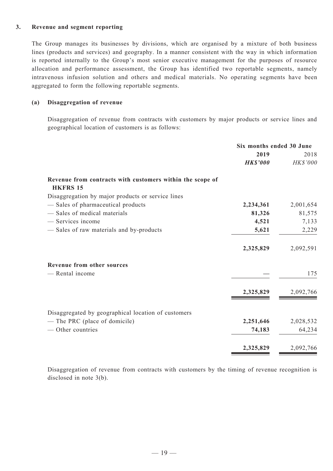#### **3. Revenue and segment reporting**

The Group manages its businesses by divisions, which are organised by a mixture of both business lines (products and services) and geography. In a manner consistent with the way in which information is reported internally to the Group's most senior executive management for the purposes of resource allocation and performance assessment, the Group has identified two reportable segments, namely intravenous infusion solution and others and medical materials. No operating segments have been aggregated to form the following reportable segments.

#### **(a) Disaggregation of revenue**

Disaggregation of revenue from contracts with customers by major products or service lines and geographical location of customers is as follows:

|                                                                              | Six months ended 30 June |           |  |
|------------------------------------------------------------------------------|--------------------------|-----------|--|
|                                                                              | 2019                     | 2018      |  |
|                                                                              | <b>HK\$'000</b>          | HK\$'000  |  |
| Revenue from contracts with customers within the scope of<br><b>HKFRS 15</b> |                          |           |  |
| Disaggregation by major products or service lines                            |                          |           |  |
| - Sales of pharmaceutical products                                           | 2,234,361                | 2,001,654 |  |
| - Sales of medical materials                                                 | 81,326                   | 81,575    |  |
| - Services income                                                            | 4,521                    | 7,133     |  |
| - Sales of raw materials and by-products                                     | 5,621                    | 2,229     |  |
|                                                                              | 2,325,829                | 2,092,591 |  |
| <b>Revenue from other sources</b>                                            |                          |           |  |
| - Rental income                                                              |                          | 175       |  |
|                                                                              | 2,325,829                | 2,092,766 |  |
| Disaggregated by geographical location of customers                          |                          |           |  |
| - The PRC (place of domicile)                                                | 2,251,646                | 2,028,532 |  |
| - Other countries                                                            | 74,183                   | 64,234    |  |
|                                                                              | 2,325,829                | 2,092,766 |  |

Disaggregation of revenue from contracts with customers by the timing of revenue recognition is disclosed in note 3(b).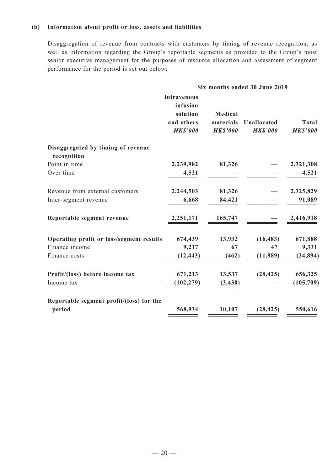#### **(b) Information about profit or loss, assets and liabilities**

Disaggregation of revenue from contracts with customers by timing of revenue recognition, as well as information regarding the Group's reportable segments as provided to the Group's most senior executive management for the purposes of resource allocation and assessment of segment performance for the period is set out below:

|                                                   | Six months ended 30 June 2019                                               |                                                |                                |                                 |
|---------------------------------------------------|-----------------------------------------------------------------------------|------------------------------------------------|--------------------------------|---------------------------------|
|                                                   | <b>Intravenous</b><br>infusion<br>solution<br>and others<br><b>HK\$'000</b> | <b>Medical</b><br>materials<br><b>HK\$'000</b> | Unallocated<br><b>HK\$'000</b> | <b>Total</b><br><b>HK\$'000</b> |
| Disaggregated by timing of revenue<br>recognition |                                                                             |                                                |                                |                                 |
| Point in time                                     | 2,239,982                                                                   | 81,326                                         |                                | 2,321,308                       |
| Over time                                         | 4,521                                                                       |                                                |                                | 4,521                           |
| Revenue from external customers                   | 2,244,503                                                                   | 81,326                                         |                                | 2,325,829                       |
| Inter-segment revenue                             | 6,668                                                                       | 84,421                                         |                                | 91,089                          |
| Reportable segment revenue                        | 2,251,171                                                                   | 165,747                                        |                                | 2,416,918                       |
| Operating profit or loss/segment results          | 674,439                                                                     | 13,932                                         | (16, 483)                      | 671,888                         |
| Finance income                                    | 9,217                                                                       | 67                                             | 47                             | 9,331                           |
| Finance costs                                     | (12, 443)                                                                   | (462)                                          | (11,989)                       | (24, 894)                       |
| Profit/(loss) before income tax                   | 671,213                                                                     | 13,537                                         | (28, 425)                      | 656,325                         |
| Income tax                                        | (102, 279)                                                                  | (3, 430)                                       |                                | (105, 709)                      |
| Reportable segment profit/(loss) for the          |                                                                             |                                                |                                |                                 |
| period                                            | 568,934                                                                     | 10,107                                         | (28, 425)                      | 550,616                         |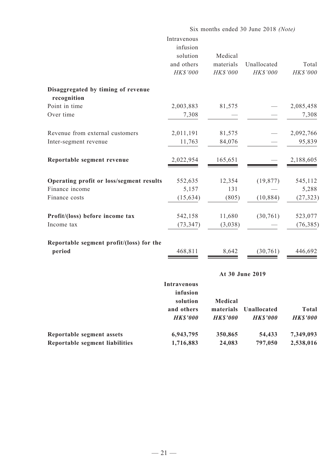|                                                   |                               |                              | Six months ended 30 June 2018 (Note) |                                 |
|---------------------------------------------------|-------------------------------|------------------------------|--------------------------------------|---------------------------------|
|                                                   | Intravenous                   |                              |                                      |                                 |
|                                                   | infusion                      |                              |                                      |                                 |
|                                                   | solution                      | Medical                      |                                      |                                 |
|                                                   | and others                    | materials                    | Unallocated                          | Total                           |
|                                                   | HK\$'000                      | HK\$'000                     | HK\$'000                             | HK\$'000                        |
| Disaggregated by timing of revenue<br>recognition |                               |                              |                                      |                                 |
| Point in time                                     | 2,003,883                     | 81,575                       |                                      | 2,085,458                       |
| Over time                                         | 7,308                         |                              |                                      | 7,308                           |
| Revenue from external customers                   | 2,011,191                     | 81,575                       |                                      | 2,092,766                       |
| Inter-segment revenue                             | 11,763                        | 84,076                       |                                      | 95,839                          |
| Reportable segment revenue                        | 2,022,954                     | 165,651                      |                                      | 2,188,605                       |
| Operating profit or loss/segment results          | 552,635                       | 12,354                       | (19, 877)                            | 545,112                         |
| Finance income                                    | 5,157                         | 131                          |                                      | 5,288                           |
| Finance costs                                     | (15, 634)                     | (805)                        | (10, 884)                            | (27, 323)                       |
| Profit/(loss) before income tax                   | 542,158                       | 11,680                       | (30, 761)                            | 523,077                         |
| Income tax                                        | (73, 347)                     | (3,038)                      |                                      | (76, 385)                       |
| Reportable segment profit/(loss) for the          |                               |                              |                                      |                                 |
| period                                            | 468,811                       | 8,642                        | (30,761)                             | 446,692                         |
|                                                   |                               |                              | At 30 June 2019                      |                                 |
|                                                   | <b>Intravenous</b>            |                              |                                      |                                 |
|                                                   | infusion                      |                              |                                      |                                 |
|                                                   | solution                      | Medical                      |                                      |                                 |
|                                                   | and others<br><b>HK\$'000</b> | materials<br><b>HK\$'000</b> | <b>Unallocated</b><br><b>HKS'000</b> | <b>Total</b><br><b>HK\$'000</b> |
| Reportable segment assets                         | 6,943,795                     | 350,865                      | 54,433                               | 7,349,093                       |
| <b>Reportable segment liabilities</b>             | 1,716,883                     | 24,083                       | 797,050                              | 2,538,016                       |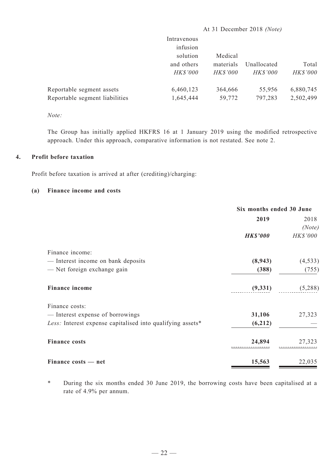|                                |                 |                 | At 31 December 2018 (Note) |           |
|--------------------------------|-----------------|-----------------|----------------------------|-----------|
|                                | Intravenous     |                 |                            |           |
|                                | infusion        |                 |                            |           |
|                                | solution        | Medical         |                            |           |
|                                | and others      | materials       | Unallocated                | Total     |
|                                | <b>HK\$'000</b> | <i>HK\$'000</i> | <i>HK\$'000</i>            | HK\$'000  |
| Reportable segment assets      | 6,460,123       | 364,666         | 55,956                     | 6,880,745 |
| Reportable segment liabilities | 1,645,444       | 59,772          | 797,283                    | 2,502,499 |

*Note:*

The Group has initially applied HKFRS 16 at 1 January 2019 using the modified retrospective approach. Under this approach, comparative information is not restated. See note 2.

# **4. Profit before taxation**

Profit before taxation is arrived at after (crediting)/charging:

### **(a) Finance income and costs**

|                                                            | Six months ended 30 June |          |
|------------------------------------------------------------|--------------------------|----------|
|                                                            | 2019                     | 2018     |
|                                                            |                          | (Note)   |
|                                                            | <b>HK\$'000</b>          | HK\$'000 |
| Finance income:                                            |                          |          |
| - Interest income on bank deposits                         | (8,943)                  | (4, 533) |
| - Net foreign exchange gain                                | (388)                    | (755)    |
| <b>Finance</b> income                                      | (9, 331)                 | (5,288)  |
| Finance costs:                                             |                          |          |
| - Interest expense of borrowings                           | 31,106                   | 27,323   |
| Less: Interest expense capitalised into qualifying assets* | (6,212)                  |          |
| <b>Finance costs</b>                                       | 24,894                   | 27,323   |
| Finance costs - net                                        | 15,563                   | 22,035   |

\* During the six months ended 30 June 2019, the borrowing costs have been capitalised at a rate of 4.9% per annum.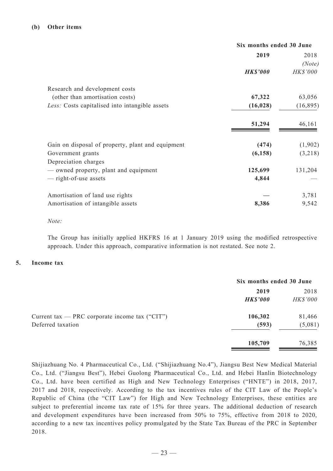|                                                   | Six months ended 30 June |           |  |
|---------------------------------------------------|--------------------------|-----------|--|
|                                                   | 2019                     | 2018      |  |
|                                                   |                          | (Note)    |  |
|                                                   | <b>HK\$'000</b>          | HK\$'000  |  |
| Research and development costs                    |                          |           |  |
| (other than amortisation costs)                   | 67,322                   | 63,056    |  |
| Less: Costs capitalised into intangible assets    | (16, 028)                | (16, 895) |  |
|                                                   | 51,294                   | 46,161    |  |
| Gain on disposal of property, plant and equipment | (474)                    | (1,902)   |  |
| Government grants                                 | (6, 158)                 | (3,218)   |  |
| Depreciation charges                              |                          |           |  |
| — owned property, plant and equipment             | 125,699                  | 131,204   |  |
| — right-of-use assets                             | 4,844                    |           |  |
| Amortisation of land use rights                   |                          | 3,781     |  |
| Amortisation of intangible assets                 | 8,386                    | 9,542     |  |

#### *Note:*

The Group has initially applied HKFRS 16 at 1 January 2019 using the modified retrospective approach. Under this approach, comparative information is not restated. See note 2.

#### **5. Income tax**

|                                                  | Six months ended 30 June |          |
|--------------------------------------------------|--------------------------|----------|
|                                                  | 2019                     | 2018     |
|                                                  | <b>HK\$'000</b>          | HK\$'000 |
| Current tax $-$ PRC corporate income tax ("CIT") | 106,302                  | 81,466   |
| Deferred taxation                                | (593)                    | (5,081)  |
|                                                  | 105,709                  | 76,385   |
|                                                  |                          |          |

Shijiazhuang No. 4 Pharmaceutical Co., Ltd. ("Shijiazhuang No.4"), Jiangsu Best New Medical Material Co., Ltd. ("Jiangsu Best"), Hebei Guolong Pharmaceutical Co., Ltd. and Hebei Hanlin Biotechnology Co., Ltd. have been certified as High and New Technology Enterprises ("HNTE") in 2018, 2017, 2017 and 2018, respectively. According to the tax incentives rules of the CIT Law of the People's Republic of China (the "CIT Law") for High and New Technology Enterprises, these entities are subject to preferential income tax rate of 15% for three years. The additional deduction of research and development expenditures have been increased from 50% to 75%, effective from 2018 to 2020, according to a new tax incentives policy promulgated by the State Tax Bureau of the PRC in September 2018.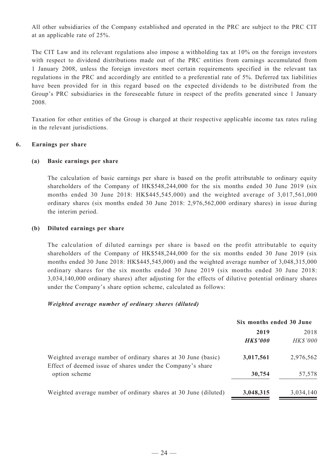All other subsidiaries of the Company established and operated in the PRC are subject to the PRC CIT at an applicable rate of 25%.

The CIT Law and its relevant regulations also impose a withholding tax at 10% on the foreign investors with respect to dividend distributions made out of the PRC entities from earnings accumulated from 1 January 2008, unless the foreign investors meet certain requirements specified in the relevant tax regulations in the PRC and accordingly are entitled to a preferential rate of 5%. Deferred tax liabilities have been provided for in this regard based on the expected dividends to be distributed from the Group's PRC subsidiaries in the foreseeable future in respect of the profits generated since 1 January 2008.

Taxation for other entities of the Group is charged at their respective applicable income tax rates ruling in the relevant jurisdictions.

#### **6. Earnings per share**

#### **(a) Basic earnings per share**

The calculation of basic earnings per share is based on the profit attributable to ordinary equity shareholders of the Company of HK\$548,244,000 for the six months ended 30 June 2019 (six months ended 30 June 2018: HK\$445,545,000) and the weighted average of 3,017,561,000 ordinary shares (six months ended 30 June 2018: 2,976,562,000 ordinary shares) in issue during the interim period.

#### **(b) Diluted earnings per share**

The calculation of diluted earnings per share is based on the profit attributable to equity shareholders of the Company of HK\$548,244,000 for the six months ended 30 June 2019 (six months ended 30 June 2018: HK\$445,545,000) and the weighted average number of 3,048,315,000 ordinary shares for the six months ended 30 June 2019 (six months ended 30 June 2018: 3,034,140,000 ordinary shares) after adjusting for the effects of dilutive potential ordinary shares under the Company's share option scheme, calculated as follows:

#### *Weighted average number of ordinary shares (diluted)*

|                                                                                                                             | Six months ended 30 June |           |
|-----------------------------------------------------------------------------------------------------------------------------|--------------------------|-----------|
|                                                                                                                             | 2019                     | 2018      |
|                                                                                                                             | <b>HK\$'000</b>          | HK\$'000  |
| Weighted average number of ordinary shares at 30 June (basic)<br>Effect of deemed issue of shares under the Company's share | 3,017,561                | 2,976,562 |
| option scheme                                                                                                               | 30,754                   | 57,578    |
| Weighted average number of ordinary shares at 30 June (diluted)                                                             | 3,048,315                | 3,034,140 |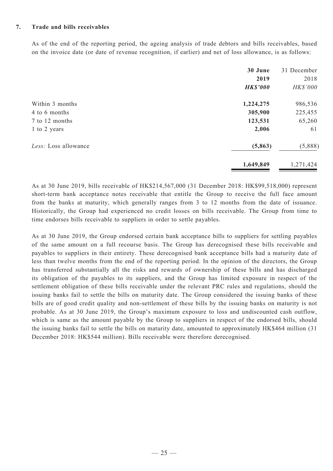#### **7. Trade and bills receivables**

As of the end of the reporting period, the ageing analysis of trade debtors and bills receivables, based on the invoice date (or date of revenue recognition, if earlier) and net of loss allowance, is as follows:

|                      | 30 June         | 31 December |
|----------------------|-----------------|-------------|
|                      | 2019            | 2018        |
|                      | <b>HK\$'000</b> | HK\$'000    |
| Within 3 months      | 1,224,275       | 986,536     |
| 4 to 6 months        | 305,900         | 225,455     |
| 7 to 12 months       | 123,531         | 65,260      |
| 1 to 2 years         | 2,006           | 61          |
| Less: Loss allowance | (5,863)         | (5,888)     |
|                      | 1,649,849       | 1,271,424   |

As at 30 June 2019, bills receivable of HK\$214,567,000 (31 December 2018: HK\$99,518,000) represent short-term bank acceptance notes receivable that entitle the Group to receive the full face amount from the banks at maturity, which generally ranges from 3 to 12 months from the date of issuance. Historically, the Group had experienced no credit losses on bills receivable. The Group from time to time endorses bills receivable to suppliers in order to settle payables.

As at 30 June 2019, the Group endorsed certain bank acceptance bills to suppliers for settling payables of the same amount on a full recourse basis. The Group has derecognised these bills receivable and payables to suppliers in their entirety. These derecognised bank acceptance bills had a maturity date of less than twelve months from the end of the reporting period. In the opinion of the directors, the Group has transferred substantially all the risks and rewards of ownership of these bills and has discharged its obligation of the payables to its suppliers, and the Group has limited exposure in respect of the settlement obligation of these bills receivable under the relevant PRC rules and regulations, should the issuing banks fail to settle the bills on maturity date. The Group considered the issuing banks of these bills are of good credit quality and non-settlement of these bills by the issuing banks on maturity is not probable. As at 30 June 2019, the Group's maximum exposure to loss and undiscounted cash outflow, which is same as the amount payable by the Group to suppliers in respect of the endorsed bills, should the issuing banks fail to settle the bills on maturity date, amounted to approximately HK\$464 million (31 December 2018: HK\$544 million). Bills receivable were therefore derecognised.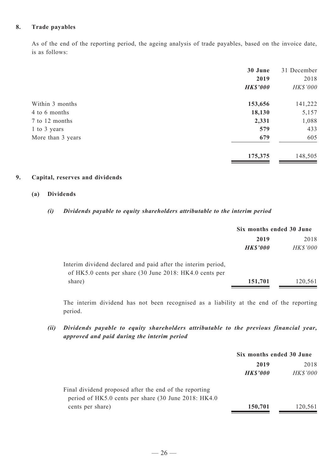#### **8. Trade payables**

As of the end of the reporting period, the ageing analysis of trade payables, based on the invoice date, is as follows:

|                   | 30 June         | 31 December |
|-------------------|-----------------|-------------|
|                   | 2019            | 2018        |
|                   | <b>HK\$'000</b> | HK\$'000    |
| Within 3 months   | 153,656         | 141,222     |
| 4 to 6 months     | 18,130          | 5,157       |
| 7 to 12 months    | 2,331           | 1,088       |
| 1 to 3 years      | 579             | 433         |
| More than 3 years | 679             | 605         |
|                   | 175,375         | 148,505     |

#### **9. Capital, reserves and dividends**

#### **(a) Dividends**

#### *(i) Dividends payable to equity shareholders attributable to the interim period*

|                                                                                                                         | Six months ended 30 June |                 |
|-------------------------------------------------------------------------------------------------------------------------|--------------------------|-----------------|
|                                                                                                                         | 2019                     | 2018            |
|                                                                                                                         | <b>HKS'000</b>           | <b>HK\$'000</b> |
| Interim dividend declared and paid after the interim period,<br>of HK5.0 cents per share (30 June 2018: HK4.0 cents per |                          |                 |
| share)                                                                                                                  | 151,701                  | 120,561         |

The interim dividend has not been recognised as a liability at the end of the reporting period.

*(ii) Dividends payable to equity shareholders attributable to the previous financial year, approved and paid during the interim period*

|                                                        | Six months ended 30 June |                 |
|--------------------------------------------------------|--------------------------|-----------------|
|                                                        | 2019                     | 2018            |
|                                                        | <b>HK\$'000</b>          | <b>HK\$'000</b> |
| Final dividend proposed after the end of the reporting |                          |                 |
| period of HK5.0 cents per share (30 June 2018: HK4.0)  |                          |                 |
| cents per share)                                       | 150,701                  | 120,561         |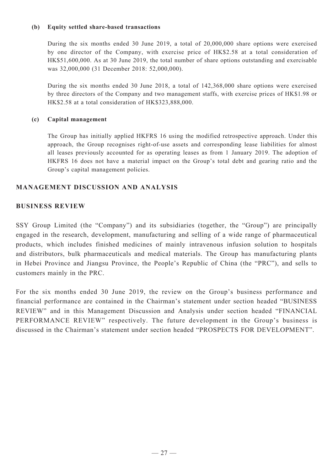#### **(b) Equity settled share-based transactions**

During the six months ended 30 June 2019, a total of 20,000,000 share options were exercised by one director of the Company, with exercise price of HK\$2.58 at a total consideration of HK\$51,600,000. As at 30 June 2019, the total number of share options outstanding and exercisable was 32,000,000 (31 December 2018: 52,000,000).

During the six months ended 30 June 2018, a total of 142,368,000 share options were exercised by three directors of the Company and two management staffs, with exercise prices of HK\$1.98 or HK\$2.58 at a total consideration of HK\$323,888,000.

### **(c) Capital management**

The Group has initially applied HKFRS 16 using the modified retrospective approach. Under this approach, the Group recognises right-of-use assets and corresponding lease liabilities for almost all leases previously accounted for as operating leases as from 1 January 2019. The adoption of HKFRS 16 does not have a material impact on the Group's total debt and gearing ratio and the Group's capital management policies.

# **MANAGEMENT DISCUSSION AND ANALYSIS**

# **Business Review**

SSY Group Limited (the "Company") and its subsidiaries (together, the "Group") are principally engaged in the research, development, manufacturing and selling of a wide range of pharmaceutical products, which includes finished medicines of mainly intravenous infusion solution to hospitals and distributors, bulk pharmaceuticals and medical materials. The Group has manufacturing plants in Hebei Province and Jiangsu Province, the People's Republic of China (the "PRC"), and sells to customers mainly in the PRC.

For the six months ended 30 June 2019, the review on the Group's business performance and financial performance are contained in the Chairman's statement under section headed "BUSINESS REVIEW" and in this Management Discussion and Analysis under section headed "FINANCIAL PERFORMANCE REVIEW" respectively. The future development in the Group's business is discussed in the Chairman's statement under section headed "PROSPECTS FOR DEVELOPMENT".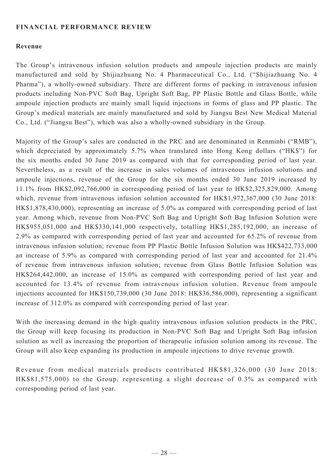# **FINANCIAL PERFORMANCE REVIEW**

# **Revenue**

The Group's intravenous infusion solution products and ampoule injection products are mainly manufactured and sold by Shijiazhuang No. 4 Pharmaceutical Co., Ltd. ("Shijiazhuang No. 4 Pharma"), a wholly-owned subsidiary. There are different forms of packing in intravenous infusion products including Non-PVC Soft Bag, Upright Soft Bag, PP Plastic Bottle and Glass Bottle, while ampoule injection products are mainly small liquid injections in forms of glass and PP plastic. The Group's medical materials are mainly manufactured and sold by Jiangsu Best New Medical Material Co., Ltd. ("Jiangsu Best"), which was also a wholly-owned subsidiary in the Group.

Majority of the Group's sales are conducted in the PRC and are denominated in Renminbi ("RMB"), which depreciated by approximately 5.7% when translated into Hong Kong dollars ("HK\$") for the six months ended 30 June 2019 as compared with that for corresponding period of last year. Nevertheless, as a result of the increase in sales volumes of intravenous infusion solutions and ampoule injections, revenue of the Group for the six months ended 30 June 2019 increased by 11.1% from HK\$2,092,766,000 in corresponding period of last year to HK\$2,325,829,000. Among which, revenue from intravenous infusion solution accounted for HK\$1,972,367,000 (30 June 2018: HK\$1,878,430,000), representing an increase of 5.0% as compared with corresponding period of last year. Among which, revenue from Non-PVC Soft Bag and Upright Soft Bag Infusion Solution were HK\$955,051,000 and HK\$330,141,000 respectively, totalling HK\$1,285,192,000, an increase of 2.9% as compared with corresponding period of last year and accounted for 65.2% of revenue from intravenous infusion solution; revenue from PP Plastic Bottle Infusion Solution was HK\$422,733,000 an increase of 5.9% as compared with corresponding period of last year and accounted for 21.4% of revenue from intravenous infusion solution; revenue from Glass Bottle Infusion Solution was HK\$264,442,000, an increase of 15.0% as compared with corresponding period of last year and accounted for 13.4% of revenue from intravenous infusion solution. Revenue from ampoule injections accounted for HK\$150,739,000 (30 June 2018: HK\$36,586,000), representing a significant increase of 312.0% as compared with corresponding period of last year.

With the increasing demand in the high quality intravenous infusion solution products in the PRC, the Group will keep focusing its production in Non-PVC Soft Bag and Upright Soft Bag infusion solution as well as increasing the proportion of therapeutic infusion solution among its revenue. The Group will also keep expanding its production in ampoule injections to drive revenue growth.

Revenue from medical materials products contributed HK\$81,326,000 (30 June 2018: HK\$81,575,000) to the Group, representing a slight decrease of 0.3% as compared with corresponding period of last year.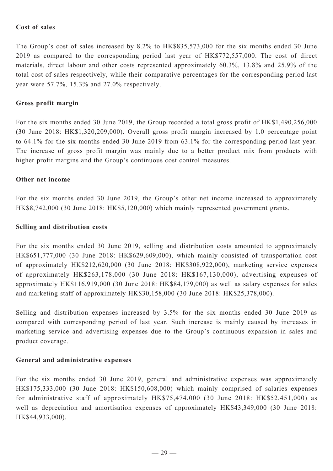### **Cost of sales**

The Group's cost of sales increased by 8.2% to HK\$835,573,000 for the six months ended 30 June 2019 as compared to the corresponding period last year of HK\$772,557,000. The cost of direct materials, direct labour and other costs represented approximately 60.3%, 13.8% and 25.9% of the total cost of sales respectively, while their comparative percentages for the corresponding period last year were 57.7%, 15.3% and 27.0% respectively.

# **Gross profit margin**

For the six months ended 30 June 2019, the Group recorded a total gross profit of HK\$1,490,256,000 (30 June 2018: HK\$1,320,209,000). Overall gross profit margin increased by 1.0 percentage point to 64.1% for the six months ended 30 June 2019 from 63.1% for the corresponding period last year. The increase of gross profit margin was mainly due to a better product mix from products with higher profit margins and the Group's continuous cost control measures.

# **Other net income**

For the six months ended 30 June 2019, the Group's other net income increased to approximately HK\$8,742,000 (30 June 2018: HK\$5,120,000) which mainly represented government grants.

# **Selling and distribution costs**

For the six months ended 30 June 2019, selling and distribution costs amounted to approximately HK\$651,777,000 (30 June 2018: HK\$629,609,000), which mainly consisted of transportation cost of approximately HK\$212,620,000 (30 June 2018: HK\$308,922,000), marketing service expenses of approximately HK\$263,178,000 (30 June 2018: HK\$167,130,000), advertising expenses of approximately HK\$116,919,000 (30 June 2018: HK\$84,179,000) as well as salary expenses for sales and marketing staff of approximately HK\$30,158,000 (30 June 2018: HK\$25,378,000).

Selling and distribution expenses increased by 3.5% for the six months ended 30 June 2019 as compared with corresponding period of last year. Such increase is mainly caused by increases in marketing service and advertising expenses due to the Group's continuous expansion in sales and product coverage.

# **General and administrative expenses**

For the six months ended 30 June 2019, general and administrative expenses was approximately HK\$175,333,000 (30 June 2018: HK\$150,608,000) which mainly comprised of salaries expenses for administrative staff of approximately HK\$75,474,000 (30 June 2018: HK\$52,451,000) as well as depreciation and amortisation expenses of approximately HK\$43,349,000 (30 June 2018: HK\$44,933,000).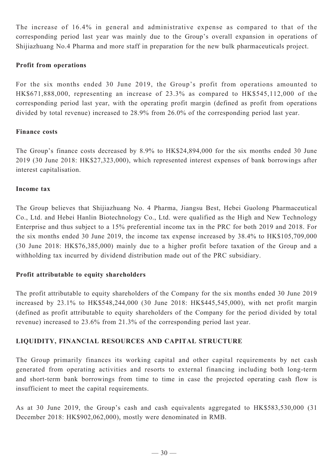The increase of 16.4% in general and administrative expense as compared to that of the corresponding period last year was mainly due to the Group's overall expansion in operations of Shijiazhuang No.4 Pharma and more staff in preparation for the new bulk pharmaceuticals project.

# **Profit from operations**

For the six months ended 30 June 2019, the Group's profit from operations amounted to HK\$671,888,000, representing an increase of 23.3% as compared to HK\$545,112,000 of the corresponding period last year, with the operating profit margin (defined as profit from operations divided by total revenue) increased to 28.9% from 26.0% of the corresponding period last year.

#### **Finance costs**

The Group's finance costs decreased by 8.9% to HK\$24,894,000 for the six months ended 30 June 2019 (30 June 2018: HK\$27,323,000), which represented interest expenses of bank borrowings after interest capitalisation.

### **Income tax**

The Group believes that Shijiazhuang No. 4 Pharma, Jiangsu Best, Hebei Guolong Pharmaceutical Co., Ltd. and Hebei Hanlin Biotechnology Co., Ltd. were qualified as the High and New Technology Enterprise and thus subject to a 15% preferential income tax in the PRC for both 2019 and 2018. For the six months ended 30 June 2019, the income tax expense increased by 38.4% to HK\$105,709,000 (30 June 2018: HK\$76,385,000) mainly due to a higher profit before taxation of the Group and a withholding tax incurred by dividend distribution made out of the PRC subsidiary.

# **Profit attributable to equity shareholders**

The profit attributable to equity shareholders of the Company for the six months ended 30 June 2019 increased by 23.1% to HK\$548,244,000 (30 June 2018: HK\$445,545,000), with net profit margin (defined as profit attributable to equity shareholders of the Company for the period divided by total revenue) increased to 23.6% from 21.3% of the corresponding period last year.

# **LIQUIDITY, FINANCIAL RESOURCES AND CAPITAL STRUCTURE**

The Group primarily finances its working capital and other capital requirements by net cash generated from operating activities and resorts to external financing including both long-term and short-term bank borrowings from time to time in case the projected operating cash flow is insufficient to meet the capital requirements.

As at 30 June 2019, the Group's cash and cash equivalents aggregated to HK\$583,530,000 (31 December 2018: HK\$902,062,000), mostly were denominated in RMB.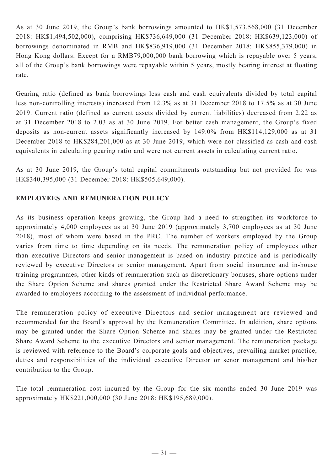As at 30 June 2019, the Group's bank borrowings amounted to HK\$1,573,568,000 (31 December 2018: HK\$1,494,502,000), comprising HK\$736,649,000 (31 December 2018: HK\$639,123,000) of borrowings denominated in RMB and HK\$836,919,000 (31 December 2018: HK\$855,379,000) in Hong Kong dollars. Except for a RMB79,000,000 bank borrowing which is repayable over 5 years, all of the Group's bank borrowings were repayable within 5 years, mostly bearing interest at floating rate.

Gearing ratio (defined as bank borrowings less cash and cash equivalents divided by total capital less non-controlling interests) increased from 12.3% as at 31 December 2018 to 17.5% as at 30 June 2019. Current ratio (defined as current assets divided by current liabilities) decreased from 2.22 as at 31 December 2018 to 2.03 as at 30 June 2019. For better cash management, the Group's fixed deposits as non-current assets significantly increased by 149.0% from HK\$114,129,000 as at 31 December 2018 to HK\$284,201,000 as at 30 June 2019, which were not classified as cash and cash equivalents in calculating gearing ratio and were not current assets in calculating current ratio.

As at 30 June 2019, the Group's total capital commitments outstanding but not provided for was HK\$340,395,000 (31 December 2018: HK\$505,649,000).

# **EMPLOYEES AND REMUNERATION POLICY**

As its business operation keeps growing, the Group had a need to strengthen its workforce to approximately 4,000 employees as at 30 June 2019 (approximately 3,700 employees as at 30 June 2018), most of whom were based in the PRC. The number of workers employed by the Group varies from time to time depending on its needs. The remuneration policy of employees other than executive Directors and senior management is based on industry practice and is periodically reviewed by executive Directors or senior management. Apart from social insurance and in-house training programmes, other kinds of remuneration such as discretionary bonuses, share options under the Share Option Scheme and shares granted under the Restricted Share Award Scheme may be awarded to employees according to the assessment of individual performance.

The remuneration policy of executive Directors and senior management are reviewed and recommended for the Board's approval by the Remuneration Committee. In addition, share options may be granted under the Share Option Scheme and shares may be granted under the Restricted Share Award Scheme to the executive Directors and senior management. The remuneration package is reviewed with reference to the Board's corporate goals and objectives, prevailing market practice, duties and responsibilities of the individual executive Director or senor management and his/her contribution to the Group.

The total remuneration cost incurred by the Group for the six months ended 30 June 2019 was approximately HK\$221,000,000 (30 June 2018: HK\$195,689,000).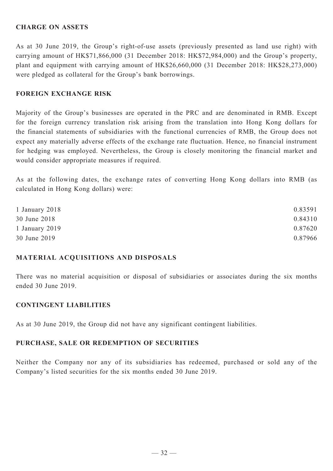# **CHARGE ON ASSETS**

As at 30 June 2019, the Group's right-of-use assets (previously presented as land use right) with carrying amount of HK\$71,866,000 (31 December 2018: HK\$72,984,000) and the Group's property, plant and equipment with carrying amount of HK\$26,660,000 (31 December 2018: HK\$28,273,000) were pledged as collateral for the Group's bank borrowings.

#### **FOREIGN EXCHANGE RISK**

Majority of the Group's businesses are operated in the PRC and are denominated in RMB. Except for the foreign currency translation risk arising from the translation into Hong Kong dollars for the financial statements of subsidiaries with the functional currencies of RMB, the Group does not expect any materially adverse effects of the exchange rate fluctuation. Hence, no financial instrument for hedging was employed. Nevertheless, the Group is closely monitoring the financial market and would consider appropriate measures if required.

As at the following dates, the exchange rates of converting Hong Kong dollars into RMB (as calculated in Hong Kong dollars) were:

| 1 January 2018 | 0.83591 |
|----------------|---------|
| 30 June 2018   | 0.84310 |
| 1 January 2019 | 0.87620 |
| 30 June 2019   | 0.87966 |

#### **Material acquisitions and disposals**

There was no material acquisition or disposal of subsidiaries or associates during the six months ended 30 June 2019.

#### **CONTINGENT LIABILITIES**

As at 30 June 2019, the Group did not have any significant contingent liabilities.

#### **PURCHASE, SALE OR REDEMPTION OF SECURITIES**

Neither the Company nor any of its subsidiaries has redeemed, purchased or sold any of the Company's listed securities for the six months ended 30 June 2019.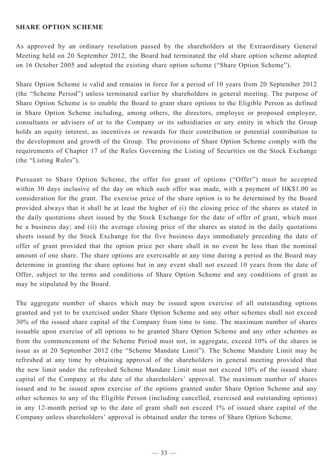#### **SHARE OPTION SCHEME**

As approved by an ordinary resolution passed by the shareholders at the Extraordinary General Meeting held on 20 September 2012, the Board had terminated the old share option scheme adopted on 16 October 2005 and adopted the existing share option scheme ("Share Option Scheme").

Share Option Scheme is valid and remains in force for a period of 10 years from 20 September 2012 (the "Scheme Period") unless terminated earlier by shareholders in general meeting. The purpose of Share Option Scheme is to enable the Board to grant share options to the Eligible Person as defined in Share Option Scheme including, among others, the directors, employee or proposed employee, consultants or advisers of or to the Company or its subsidiaries or any entity in which the Group holds an equity interest, as incentives or rewards for their contribution or potential contribution to the development and growth of the Group. The provisions of Share Option Scheme comply with the requirements of Chapter 17 of the Rules Governing the Listing of Securities on the Stock Exchange (the "Listing Rules").

Pursuant to Share Option Scheme, the offer for grant of options ("Offer") must be accepted within 30 days inclusive of the day on which such offer was made, with a payment of HK\$1.00 as consideration for the grant. The exercise price of the share option is to be determined by the Board provided always that it shall be at least the higher of (i) the closing price of the shares as stated in the daily quotations sheet issued by the Stock Exchange for the date of offer of grant, which must be a business day; and (ii) the average closing price of the shares as stated in the daily quotations sheets issued by the Stock Exchange for the five business days immediately preceding the date of offer of grant provided that the option price per share shall in no event be less than the nominal amount of one share. The share options are exercisable at any time during a period as the Board may determine in granting the share options but in any event shall not exceed 10 years from the date of Offer, subject to the terms and conditions of Share Option Scheme and any conditions of grant as may be stipulated by the Board.

The aggregate number of shares which may be issued upon exercise of all outstanding options granted and yet to be exercised under Share Option Scheme and any other schemes shall not exceed 30% of the issued share capital of the Company from time to time. The maximum number of shares issuable upon exercise of all options to be granted Share Option Scheme and any other schemes as from the commencement of the Scheme Period must not, in aggregate, exceed 10% of the shares in issue as at 20 September 2012 (the "Scheme Mandate Limit"). The Scheme Mandate Limit may be refreshed at any time by obtaining approval of the shareholders in general meeting provided that the new limit under the refreshed Scheme Mandate Limit must not exceed 10% of the issued share capital of the Company at the date of the shareholders' approval. The maximum number of shares issued and to be issued upon exercise of the options granted under Share Option Scheme and any other schemes to any of the Eligible Person (including cancelled, exercised and outstanding options) in any 12-month period up to the date of grant shall not exceed 1% of issued share capital of the Company unless shareholders' approval is obtained under the terms of Share Option Scheme.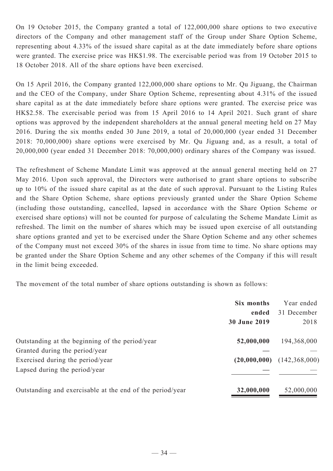On 19 October 2015, the Company granted a total of 122,000,000 share options to two executive directors of the Company and other management staff of the Group under Share Option Scheme, representing about 4.33% of the issued share capital as at the date immediately before share options were granted. The exercise price was HK\$1.98. The exercisable period was from 19 October 2015 to 18 October 2018. All of the share options have been exercised.

On 15 April 2016, the Company granted 122,000,000 share options to Mr. Qu Jiguang, the Chairman and the CEO of the Company, under Share Option Scheme, representing about 4.31% of the issued share capital as at the date immediately before share options were granted. The exercise price was HK\$2.58. The exercisable period was from 15 April 2016 to 14 April 2021. Such grant of share options was approved by the independent shareholders at the annual general meeting held on 27 May 2016. During the six months ended 30 June 2019, a total of 20,000,000 (year ended 31 December 2018: 70,000,000) share options were exercised by Mr. Qu Jiguang and, as a result, a total of 20,000,000 (year ended 31 December 2018: 70,000,000) ordinary shares of the Company was issued.

The refreshment of Scheme Mandate Limit was approved at the annual general meeting held on 27 May 2016. Upon such approval, the Directors were authorised to grant share options to subscribe up to 10% of the issued share capital as at the date of such approval. Pursuant to the Listing Rules and the Share Option Scheme, share options previously granted under the Share Option Scheme (including those outstanding, cancelled, lapsed in accordance with the Share Option Scheme or exercised share options) will not be counted for purpose of calculating the Scheme Mandate Limit as refreshed. The limit on the number of shares which may be issued upon exercise of all outstanding share options granted and yet to be exercised under the Share Option Scheme and any other schemes of the Company must not exceed 30% of the shares in issue from time to time. No share options may be granted under the Share Option Scheme and any other schemes of the Company if this will result in the limit being exceeded.

The movement of the total number of share options outstanding is shown as follows:

|                                                           | Six months          | Year ended    |  |
|-----------------------------------------------------------|---------------------|---------------|--|
|                                                           | ended               | 31 December   |  |
|                                                           | <b>30 June 2019</b> | 2018          |  |
| Outstanding at the beginning of the period/year           | 52,000,000          | 194,368,000   |  |
| Granted during the period/year                            |                     |               |  |
| Exercised during the period/year                          | (20,000,000)        | (142,368,000) |  |
| Lapsed during the period/year                             |                     |               |  |
| Outstanding and exercisable at the end of the period/year | 32,000,000          | 52,000,000    |  |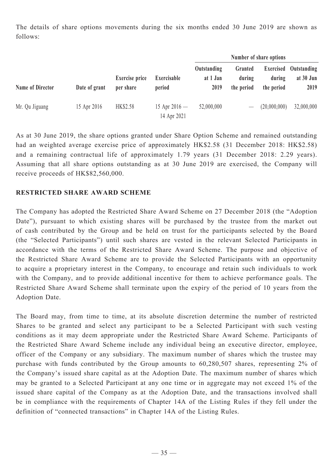The details of share options movements during the six months ended 30 June 2019 are shown as follows:

|                         |               |                                    |                                | Number of share options         |                                 |                                   |                                  |
|-------------------------|---------------|------------------------------------|--------------------------------|---------------------------------|---------------------------------|-----------------------------------|----------------------------------|
| <b>Name of Director</b> | Date of grant | <b>Exercise</b> price<br>per share | Exercisable<br>period          | Outstanding<br>at 1 Jan<br>2019 | Granted<br>during<br>the period | Exercised<br>during<br>the period | Outstanding<br>at 30 Jun<br>2019 |
| Mr. Qu Jiguang          | 15 Apr 2016   | HK\$2.58                           | 15 Apr $2016 -$<br>14 Apr 2021 | 52,000,000                      |                                 | (20,000,000)                      | 32,000,000                       |

As at 30 June 2019, the share options granted under Share Option Scheme and remained outstanding had an weighted average exercise price of approximately HK\$2.58 (31 December 2018: HK\$2.58) and a remaining contractual life of approximately 1.79 years (31 December 2018: 2.29 years). Assuming that all share options outstanding as at 30 June 2019 are exercised, the Company will receive proceeds of HK\$82,560,000.

# **RESTRICTED SHARE AWARD SCHEME**

The Company has adopted the Restricted Share Award Scheme on 27 December 2018 (the "Adoption Date"), pursuant to which existing shares will be purchased by the trustee from the market out of cash contributed by the Group and be held on trust for the participants selected by the Board (the "Selected Participants") until such shares are vested in the relevant Selected Participants in accordance with the terms of the Restricted Share Award Scheme. The purpose and objective of the Restricted Share Award Scheme are to provide the Selected Participants with an opportunity to acquire a proprietary interest in the Company, to encourage and retain such individuals to work with the Company, and to provide additional incentive for them to achieve performance goals. The Restricted Share Award Scheme shall terminate upon the expiry of the period of 10 years from the Adoption Date.

The Board may, from time to time, at its absolute discretion determine the number of restricted Shares to be granted and select any participant to be a Selected Participant with such vesting conditions as it may deem appropriate under the Restricted Share Award Scheme. Participants of the Restricted Share Award Scheme include any individual being an executive director, employee, officer of the Company or any subsidiary. The maximum number of shares which the trustee may purchase with funds contributed by the Group amounts to 60,280,507 shares, representing 2% of the Company's issued share capital as at the Adoption Date. The maximum number of shares which may be granted to a Selected Participant at any one time or in aggregate may not exceed 1% of the issued share capital of the Company as at the Adoption Date, and the transactions involved shall be in compliance with the requirements of Chapter 14A of the Listing Rules if they fell under the definition of "connected transactions" in Chapter 14A of the Listing Rules.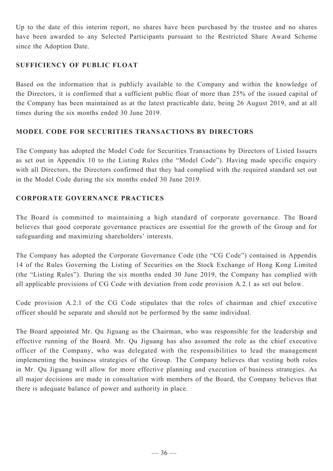Up to the date of this interim report, no shares have been purchased by the trustee and no shares have been awarded to any Selected Participants pursuant to the Restricted Share Award Scheme since the Adoption Date.

# **SUFFICIENCY OF PUBLIC FLOAT**

Based on the information that is publicly available to the Company and within the knowledge of the Directors, it is confirmed that a sufficient public float of more than 25% of the issued capital of the Company has been maintained as at the latest practicable date, being 26 August 2019, and at all times during the six months ended 30 June 2019.

# **Model Code for Securities Transactions by Directors**

The Company has adopted the Model Code for Securities Transactions by Directors of Listed Issuers as set out in Appendix 10 to the Listing Rules (the "Model Code"). Having made specific enquiry with all Directors, the Directors confirmed that they had complied with the required standard set out in the Model Code during the six months ended 30 June 2019.

# **Corporate Governance Practices**

The Board is committed to maintaining a high standard of corporate governance. The Board believes that good corporate governance practices are essential for the growth of the Group and for safeguarding and maximizing shareholders' interests.

The Company has adopted the Corporate Governance Code (the "CG Code") contained in Appendix 14 of the Rules Governing the Listing of Securities on the Stock Exchange of Hong Kong Limited (the "Listing Rules"). During the six months ended 30 June 2019, the Company has complied with all applicable provisions of CG Code with deviation from code provision A.2.1 as set out below.

Code provision A.2.1 of the CG Code stipulates that the roles of chairman and chief executive officer should be separate and should not be performed by the same individual.

The Board appointed Mr. Qu Jiguang as the Chairman, who was responsible for the leadership and effective running of the Board. Mr. Qu Jiguang has also assumed the role as the chief executive officer of the Company, who was delegated with the responsibilities to lead the management implementing the business strategies of the Group. The Company believes that vesting both roles in Mr. Qu Jiguang will allow for more effective planning and execution of business strategies. As all major decisions are made in consultation with members of the Board, the Company believes that there is adequate balance of power and authority in place.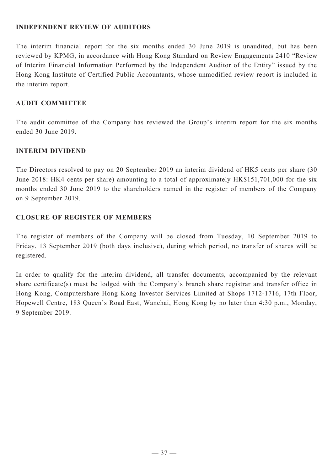# **INDEPENDENT REVIEW OF AUDITORS**

The interim financial report for the six months ended 30 June 2019 is unaudited, but has been reviewed by KPMG, in accordance with Hong Kong Standard on Review Engagements 2410 "Review of Interim Financial Information Performed by the Independent Auditor of the Entity" issued by the Hong Kong Institute of Certified Public Accountants, whose unmodified review report is included in the interim report.

# **AUDIT COMMITTEE**

The audit committee of the Company has reviewed the Group's interim report for the six months ended 30 June 2019.

# **INTERIM DIVIDEND**

The Directors resolved to pay on 20 September 2019 an interim dividend of HK5 cents per share (30 June 2018: HK4 cents per share) amounting to a total of approximately HK\$151,701,000 for the six months ended 30 June 2019 to the shareholders named in the register of members of the Company on 9 September 2019.

# **CLOSURE OF REGISTER OF MEMBERS**

The register of members of the Company will be closed from Tuesday, 10 September 2019 to Friday, 13 September 2019 (both days inclusive), during which period, no transfer of shares will be registered.

In order to qualify for the interim dividend, all transfer documents, accompanied by the relevant share certificate(s) must be lodged with the Company's branch share registrar and transfer office in Hong Kong, Computershare Hong Kong Investor Services Limited at Shops 1712-1716, 17th Floor, Hopewell Centre, 183 Queen's Road East, Wanchai, Hong Kong by no later than 4:30 p.m., Monday, 9 September 2019.